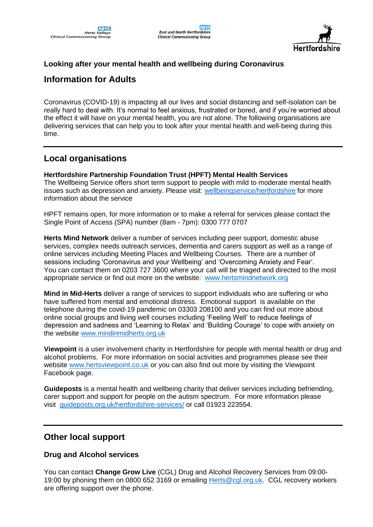

### **Looking after your mental health and wellbeing during Coronavirus**

# **Information for Adults**

Coronavirus (COVID-19) is impacting all our lives and social distancing and self-isolation can be really hard to deal with. It's normal to feel anxious, frustrated or bored, and if you're worried about the effect it will have on your mental health, you are not alone. The following organisations are delivering services that can help you to look after your mental health and well-being during this time.

## **Local organisations**

#### **Hertfordshire Partnership Foundation Trust (HPFT) Mental Health Services**

The Wellbeing Service offers short term support to people with mild to moderate mental health issues such as depression and anxiety. Please visit: [wellbeingservice/hertfordshire](https://www.northessexiapt.nhs.uk/hertfordshire) for more information about the service

HPFT remains open, for more information or to make a referral for services please contact the Single Point of Access (SPA) number (8am - 7pm): 0300 777 0707

**Herts Mind Network** deliver a number of services including peer support, domestic abuse services, complex needs outreach services, dementia and carers support as well as a range of online services including Meeting Places and Wellbeing Courses. There are a number of sessions including 'Coronavirus and your Wellbeing' and 'Overcoming Anxiety and Fear'. You can contact them on 0203 727 3600 where your call will be triaged and directed to the most appropriate service or find out more on the website: [www.hertsmindnetwork.org](http://www.hertsmindnetwork.org/)

**Mind in Mid-Herts** deliver a range of services to support individuals who are suffering or who have suffered from mental and emotional distress. Emotional support is available on the telephone during the covid-19 pandemic on 03303 208100 and you can find out more about online social groups and living well courses including 'Feeling Well' to reduce feelings of depression and sadness and 'Learning to Relax' and 'Building Courage' to cope with anxiety on the website [www.mindinmidherts.org.uk](http://www.mindinmidherts.org.uk/)

**Viewpoint** is a user involvement charity in Hertfordshire for people with mental health or drug and alcohol problems. For more information on social activities and programmes please see their website [www.hertsviewpoint.co.uk](http://www.hertsviewpoint.co.uk/) or you can also find out more by visiting the Viewpoint Facebook page.

**Guideposts** is a mental health and wellbeing charity that deliver services including befriending, carer support and support for people on the autism spectrum. For more information please visit [guideposts.org.uk/hertfordshire-services/](https://guideposts.org.uk/hertfordshire-services/) or call 01923 223554.

## **Other local support**

### **Drug and Alcohol services**

You can contact **Change Grow Live** (CGL) Drug and Alcohol Recovery Services from 09:00- 19:00 by phoning them on 0800 652 3169 or emailing Herts@cgl.org.uk. CGL recovery workers are offering support over the phone.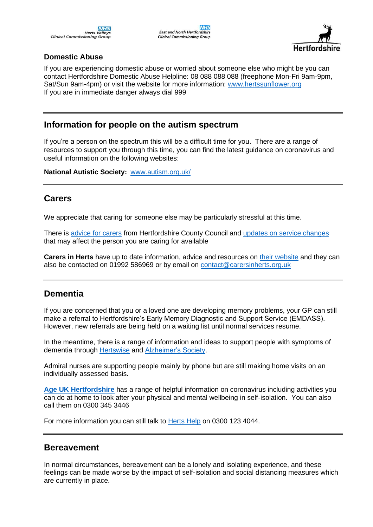

### **Domestic Abuse**

If you are experiencing domestic abuse or worried about someone else who might be you can contact Hertfordshire Domestic Abuse Helpline: 08 088 088 088 (freephone Mon-Fri 9am-9pm, Sat/Sun 9am-4pm) or visit the website for more information: [www.hertssunflower.org](http://www.hertssunflower.org/) If you are in immediate danger always dial 999

## **Information for people on the autism spectrum**

If you're a person on the spectrum this will be a difficult time for you. There are a range of resources to support you through this time, you can find the latest guidance on coronavirus and useful information on the following websites:

**National Autistic Society:** [www.autism.org.uk/](http://www.autism.org.uk/)

## **Carers**

We appreciate that caring for someone else may be particularly stressful at this time.

There is [advice for carers](https://www.hertfordshire.gov.uk/services/Adult-social-services/carers/carers.aspx) from Hertfordshire County Council and [updates on service changes](https://www.hertfordshire.gov.uk/about-the-council/news/coronavirus-service-updates.aspx) that may affect the person you are caring for available

**Carers in Herts** have up to date information, advice and resources on [their website](https://www.carersinherts.org.uk/) and they can also be contacted on 01992 586969 or by email on [contact@carersinherts.org.uk](mailto:contact@carersinherts.org.uk)

## **Dementia**

If you are concerned that you or a loved one are developing memory problems, your GP can still make a referral to Hertfordshire's Early Memory Diagnostic and Support Service (EMDASS). However, new referrals are being held on a waiting list until normal services resume.

In the meantime, there is a range of information and ideas to support people with symptoms of dementia through [Hertswise](https://hertswise.org.uk/) and [Alzheimer's Society.](https://www.alzheimers.org.uk/get-support/coronavirus-covid-19)

Admiral nurses are supporting people mainly by phone but are still making home visits on an individually assessed basis.

**[Age UK Hertfordshire](https://www.ageuk.org.uk/hertfordshire/our-services/coronavirus/)** has a range of helpful information on coronavirus including activities you can do at home to look after your physical and mental wellbeing in self-isolation. You can also call them on 0300 345 3446

For more information you can still talk to [Herts Help](https://www.hertshelp.net/hertshelp.aspx) on 0300 123 4044.

### **Bereavement**

In normal circumstances, bereavement can be a lonely and isolating experience, and these feelings can be made worse by the impact of self-isolation and social distancing measures which are currently in place.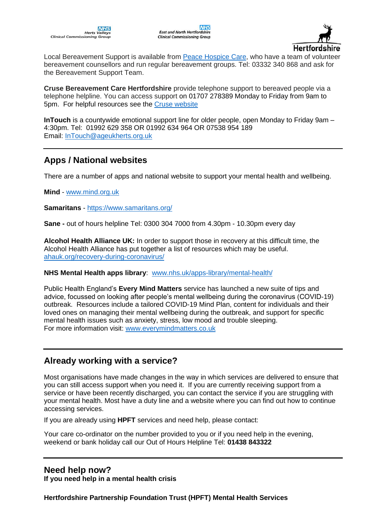

Local Bereavement Support is available from [Peace Hospice Care,](https://www.peacehospicecare.org.uk/) who have a team of volunteer bereavement counsellors and run regular bereavement groups. Tel: 03332 340 868 and ask for the Bereavement Support Team.

**Cruse Bereavement Care Hertfordshire** provide telephone support to bereaved people via a telephone helpline. You can access support on 01707 278389 Monday to Friday from 9am to 5pm. For helpful resources see the [Cruse website](https://www.cruse.org.uk/get-help/coronavirus-dealing-bereavement-and-grief)

**InTouch** is a countywide emotional support line for older people, open Monday to Friday 9am – 4:30pm. Tel: 01992 629 358 OR 01992 634 964 OR 07538 954 189 Email: [InTouch@ageukherts.org.uk](mailto:InTouch@ageukherts.org.uk)

# **Apps / National websites**

There are a number of apps and national website to support your mental health and wellbeing.

**Mind** - [www.mind.org.uk](http://www.mind.org.uk/)

**Samaritans** - <https://www.samaritans.org/>

**[Sane](http://www.sane.org.uk/) -** out of hours helpline Tel: 0300 304 7000 from 4.30pm - 10.30pm every day

**Alcohol Health Alliance UK:** In order to support those in recovery at this difficult time, the Alcohol Health Alliance has put together a list of resources which may be useful. [ahauk.org/recovery-during-coronavirus/](https://ahauk.org/recovery-during-coronavirus/)

#### **NHS Mental Health apps library**: [www.nhs.uk/apps-library/mental-health/](http://www.nhs.uk/apps-library/mental-health/)

Public Health England's **Every Mind Matters** service has launched a new suite of tips and advice, focussed on looking after people's mental wellbeing during the coronavirus (COVID-19) outbreak. Resources include a tailored COVID-19 Mind Plan, content for individuals and their loved ones on managing their mental wellbeing during the outbreak, and support for specific mental health issues such as anxiety, stress, low mood and trouble sleeping. For more information visit: [www.everymindmatters.co.uk](https://lnks.gd/l/eyJhbGciOiJIUzI1NiJ9.eyJidWxsZXRpbl9saW5rX2lkIjoxMDYsInVyaSI6ImJwMjpjbGljayIsImJ1bGxldGluX2lkIjoiMjAyMDA0MTcuMjAzMDQ5MDEiLCJ1cmwiOiJodHRwOi8vd3d3LmV2ZXJ5bWluZG1hdHRlcnMuY28udWs_dXRtX21lZGl1bT1lbWFpbCZ1dG1fc291cmNlPWdvdmRlbGl2ZXJ5In0.1iOCP1-Qhpuv7Ii5AR9sogCY2aEk611FbkVfxXBH3HU/br/77550226077-l)

## **Already working with a service?**

Most organisations have made changes in the way in which services are delivered to ensure that you can still access support when you need it. If you are currently receiving support from a service or have been recently discharged, you can contact the service if you are struggling with your mental health. Most have a duty line and a website where you can find out how to continue accessing services.

If you are already using **HPFT** services and need help, please contact:

Your care co-ordinator on the number provided to you or if you need help in the evening, weekend or bank holiday call our Out of Hours Helpline Tel: **01438 843322**

### **Need help now? If you need help in a mental health crisis**

**Hertfordshire Partnership Foundation Trust (HPFT) Mental Health Services**